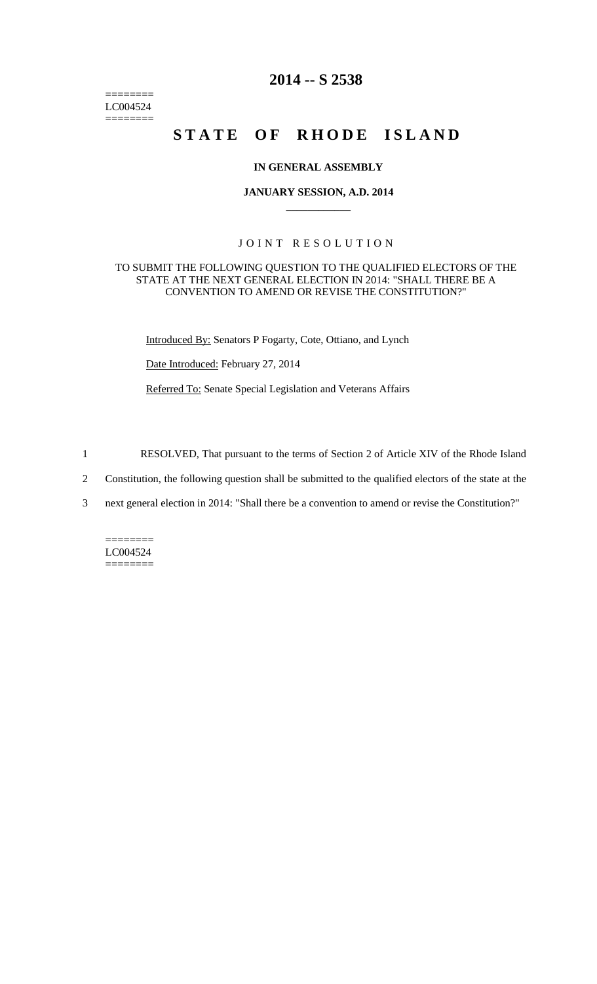======== LC004524  $=$ 

# **2014 -- S 2538**

# **STATE OF RHODE ISLAND**

#### **IN GENERAL ASSEMBLY**

#### **JANUARY SESSION, A.D. 2014 \_\_\_\_\_\_\_\_\_\_\_\_**

## JOINT RESOLUTION

#### TO SUBMIT THE FOLLOWING QUESTION TO THE QUALIFIED ELECTORS OF THE STATE AT THE NEXT GENERAL ELECTION IN 2014: "SHALL THERE BE A CONVENTION TO AMEND OR REVISE THE CONSTITUTION?"

Introduced By: Senators P Fogarty, Cote, Ottiano, and Lynch

Date Introduced: February 27, 2014

Referred To: Senate Special Legislation and Veterans Affairs

1 RESOLVED, That pursuant to the terms of Section 2 of Article XIV of the Rhode Island

2 Constitution, the following question shall be submitted to the qualified electors of the state at the

3 next general election in 2014: "Shall there be a convention to amend or revise the Constitution?"

 $=$ LC004524 ========